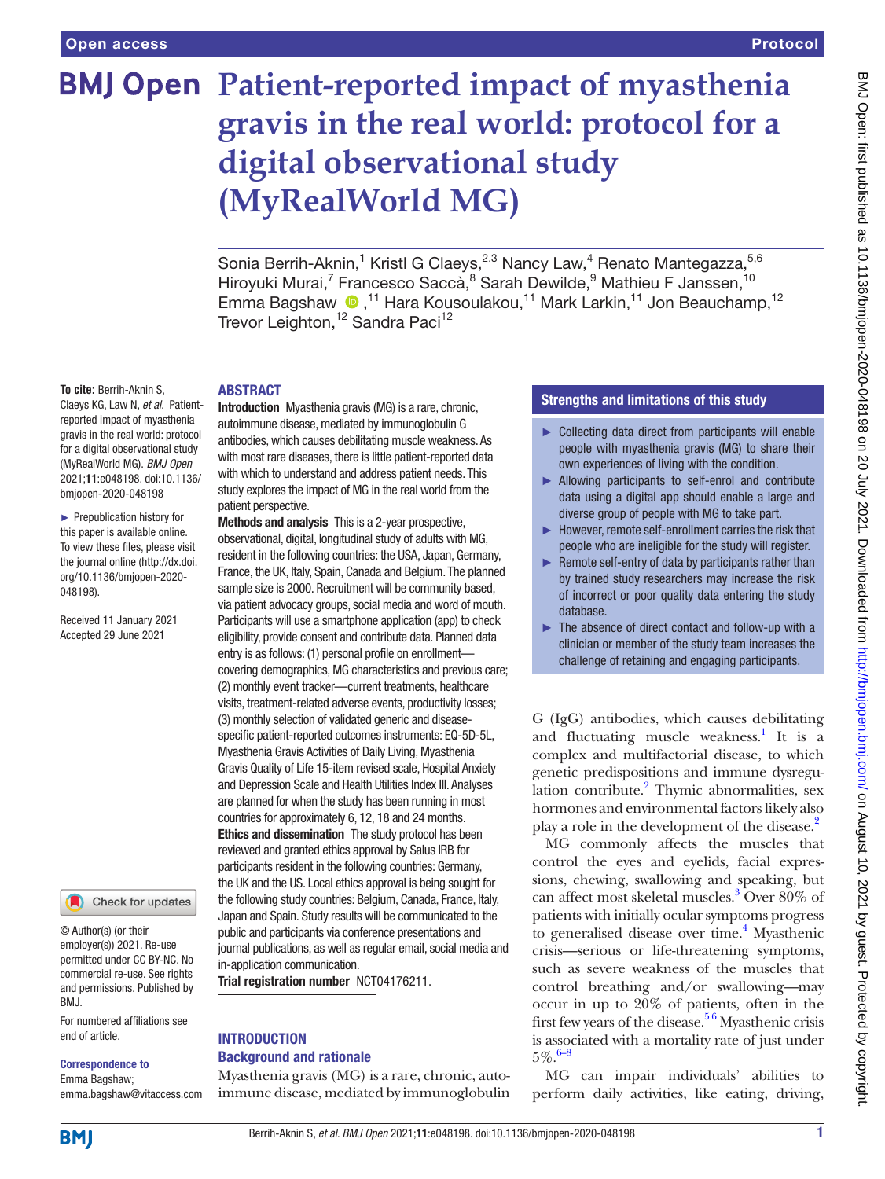# **BMJ Open Patient-reported impact of myasthenia gravis in the real world: protocol for a digital observational study (MyRealWorld MG)**

Sonia Berrih-Aknin,<sup>1</sup> Kristl G Claeys,<sup>2,3</sup> Nancy Law,<sup>4</sup> Renato Mantegazza,<sup>5,6</sup> Hiroyuki Murai,<sup>7</sup> Francesco Saccà,<sup>8</sup> Sarah Dewilde,<sup>9</sup> Mathieu F Janssen,<sup>10</sup> Emma Bagshaw (D,<sup>11</sup> Hara Kousoulakou,<sup>11</sup> Mark Larkin,<sup>11</sup> Jon Beauchamp,<sup>12</sup> Trevor Leighton, <sup>12</sup> Sandra Paci<sup>12</sup>

## **To cite:** Berrih-Aknin S,

Claeys KG, Law N, *et al*. Patientreported impact of myasthenia gravis in the real world: protocol for a digital observational study (MyRealWorld MG). *BMJ Open* 2021;11:e048198. doi:10.1136/ bmjopen-2020-048198

► Prepublication history for this paper is available online. To view these files, please visit the journal online [\(http://dx.doi.](http://dx.doi.org/10.1136/bmjopen-2020-048198) [org/10.1136/bmjopen-2020-](http://dx.doi.org/10.1136/bmjopen-2020-048198) [048198\)](http://dx.doi.org/10.1136/bmjopen-2020-048198).

Received 11 January 2021 Accepted 29 June 2021



© Author(s) (or their employer(s)) 2021. Re-use permitted under CC BY-NC. No commercial re-use. See rights and permissions. Published by BMJ.

For numbered affiliations see end of article.

## Correspondence to

Emma Bagshaw; emma.bagshaw@vitaccess.com

# ABSTRACT

Introduction Myasthenia gravis (MG) is a rare, chronic, autoimmune disease, mediated by immunoglobulin G antibodies, which causes debilitating muscle weakness. As with most rare diseases, there is little patient-reported data with which to understand and address patient needs. This study explores the impact of MG in the real world from the patient perspective.

Methods and analysis This is a 2-year prospective. observational, digital, longitudinal study of adults with MG, resident in the following countries: the USA, Japan, Germany, France, the UK, Italy, Spain, Canada and Belgium. The planned sample size is 2000. Recruitment will be community based, via patient advocacy groups, social media and word of mouth. Participants will use a smartphone application (app) to check eligibility, provide consent and contribute data. Planned data entry is as follows: (1) personal profile on enrollment covering demographics, MG characteristics and previous care; (2) monthly event tracker—current treatments, healthcare visits, treatment-related adverse events, productivity losses; (3) monthly selection of validated generic and diseasespecific patient-reported outcomes instruments: EQ-5D-5L, Myasthenia Gravis Activities of Daily Living, Myasthenia Gravis Quality of Life 15-item revised scale, Hospital Anxiety and Depression Scale and Health Utilities Index III. Analyses are planned for when the study has been running in most countries for approximately 6, 12, 18 and 24 months. Ethics and dissemination The study protocol has been reviewed and granted ethics approval by Salus IRB for participants resident in the following countries: Germany, the UK and the US. Local ethics approval is being sought for the following study countries: Belgium, Canada, France, Italy, Japan and Spain. Study results will be communicated to the public and participants via conference presentations and journal publications, as well as regular email, social media and in-application communication.

Trial registration number <NCT04176211>.

## **INTRODUCTION** Background and rationale

Myasthenia gravis (MG) is a rare, chronic, autoimmune disease, mediated by immunoglobulin

# Strengths and limitations of this study

- ► Collecting data direct from participants will enable people with myasthenia gravis (MG) to share their own experiences of living with the condition.
- ► Allowing participants to self-enrol and contribute data using a digital app should enable a large and diverse group of people with MG to take part.
- ► However, remote self-enrollment carries the risk that people who are ineligible for the study will register.
- $\blacktriangleright$  Remote self-entry of data by participants rather than by trained study researchers may increase the risk of incorrect or poor quality data entering the study database.
- ► The absence of direct contact and follow-up with a clinician or member of the study team increases the challenge of retaining and engaging participants.

G (IgG) antibodies, which causes debilitating and fluctuating muscle weakness.<sup>1</sup> It is a complex and multifactorial disease, to which genetic predispositions and immune dysregu-lation contribute.<sup>[2](#page-7-1)</sup> Thymic abnormalities, sex hormones and environmental factors likely also play a role in the development of the disease.<sup>2</sup>

MG commonly affects the muscles that control the eyes and eyelids, facial expressions, chewing, swallowing and speaking, but can affect most skeletal muscles.[3](#page-7-2) Over 80% of patients with initially ocular symptoms progress to generalised disease over time.<sup>4</sup> Myasthenic crisis—serious or life-threatening symptoms, such as severe weakness of the muscles that control breathing and/or swallowing—may occur in up to 20% of patients, often in the first few years of the disease[.5 6](#page-7-4) Myasthenic crisis is associated with a mortality rate of just under  $5\%$  [6–8](#page-7-5)

MG can impair individuals' abilities to perform daily activities, like eating, driving,

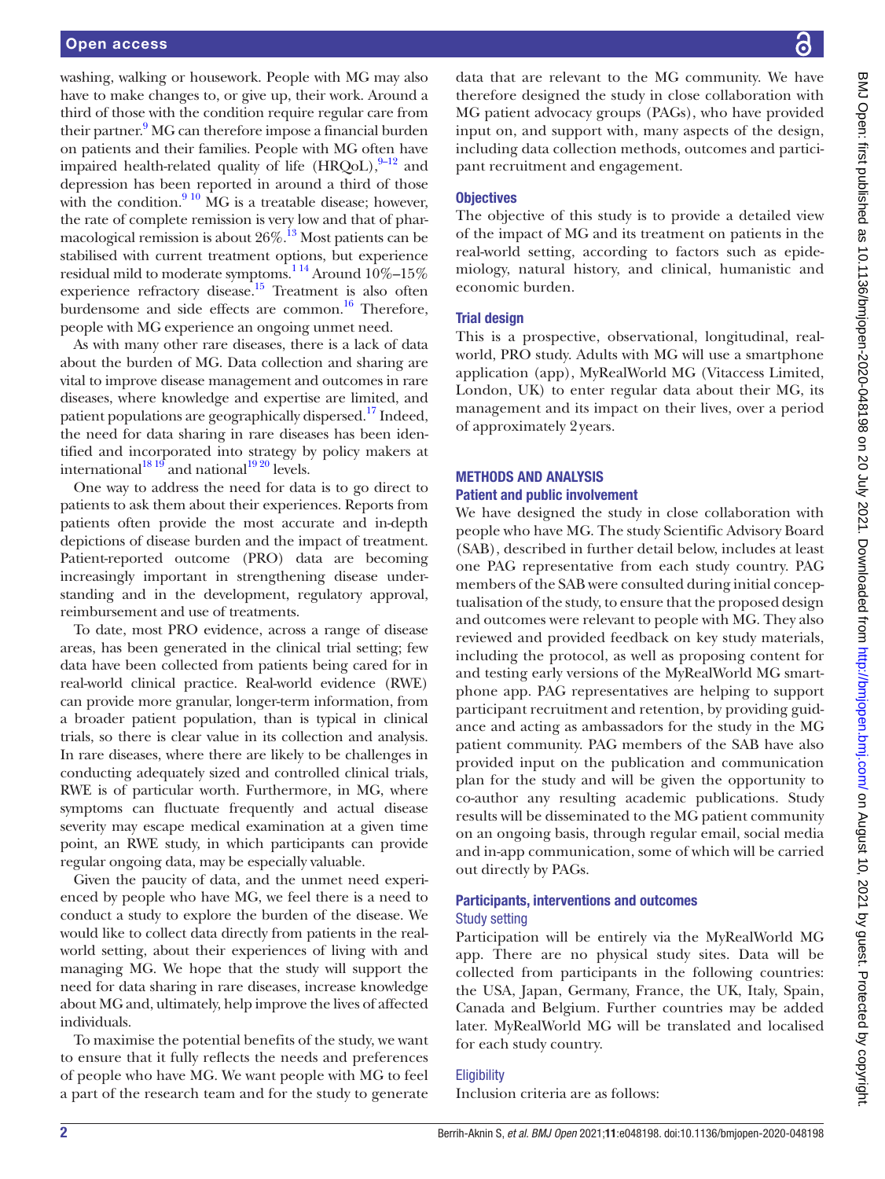washing, walking or housework. People with MG may also have to make changes to, or give up, their work. Around a third of those with the condition require regular care from their partner.<sup>9</sup> MG can therefore impose a financial burden on patients and their families. People with MG often have impaired health-related quality of life  $(HRQoL)$ ,  $9-12$  and depression has been reported in around a third of those with the condition. $910$  MG is a treatable disease; however, the rate of complete remission is very low and that of pharmacological remission is about  $26\%$ .<sup>13</sup> Most patients can be stabilised with current treatment options, but experience residual mild to moderate symptoms.<sup>114</sup> Around  $10\%$ –15% experience refractory disease.<sup>15</sup> Treatment is also often burdensome and side effects are common.<sup>16</sup> Therefore, people with MG experience an ongoing unmet need.

As with many other rare diseases, there is a lack of data about the burden of MG. Data collection and sharing are vital to improve disease management and outcomes in rare diseases, where knowledge and expertise are limited, and patient populations are geographically dispersed.<sup>[17](#page-7-10)</sup> Indeed, the need for data sharing in rare diseases has been identified and incorporated into strategy by policy makers at international<sup>18 19</sup> and national<sup>19 20</sup> levels.

One way to address the need for data is to go direct to patients to ask them about their experiences. Reports from patients often provide the most accurate and in-depth depictions of disease burden and the impact of treatment. Patient-reported outcome (PRO) data are becoming increasingly important in strengthening disease understanding and in the development, regulatory approval, reimbursement and use of treatments.

To date, most PRO evidence, across a range of disease areas, has been generated in the clinical trial setting; few data have been collected from patients being cared for in real-world clinical practice. Real-world evidence (RWE) can provide more granular, longer-term information, from a broader patient population, than is typical in clinical trials, so there is clear value in its collection and analysis. In rare diseases, where there are likely to be challenges in conducting adequately sized and controlled clinical trials, RWE is of particular worth. Furthermore, in MG, where symptoms can fluctuate frequently and actual disease severity may escape medical examination at a given time point, an RWE study, in which participants can provide regular ongoing data, may be especially valuable.

Given the paucity of data, and the unmet need experienced by people who have MG, we feel there is a need to conduct a study to explore the burden of the disease. We would like to collect data directly from patients in the realworld setting, about their experiences of living with and managing MG. We hope that the study will support the need for data sharing in rare diseases, increase knowledge about MG and, ultimately, help improve the lives of affected individuals.

To maximise the potential benefits of the study, we want to ensure that it fully reflects the needs and preferences of people who have MG. We want people with MG to feel a part of the research team and for the study to generate

data that are relevant to the MG community. We have therefore designed the study in close collaboration with MG patient advocacy groups (PAGs), who have provided input on, and support with, many aspects of the design, including data collection methods, outcomes and participant recruitment and engagement.

# **Objectives**

The objective of this study is to provide a detailed view of the impact of MG and its treatment on patients in the real-world setting, according to factors such as epidemiology, natural history, and clinical, humanistic and economic burden.

# Trial design

This is a prospective, observational, longitudinal, realworld, PRO study. Adults with MG will use a smartphone application (app), MyRealWorld MG (Vitaccess Limited, London, UK) to enter regular data about their MG, its management and its impact on their lives, over a period of approximately 2years.

# METHODS AND ANALYSIS

# Patient and public involvement

We have designed the study in close collaboration with people who have MG. The study Scientific Advisory Board (SAB), described in further detail below, includes at least one PAG representative from each study country. PAG members of the SAB were consulted during initial conceptualisation of the study, to ensure that the proposed design and outcomes were relevant to people with MG. They also reviewed and provided feedback on key study materials, including the protocol, as well as proposing content for and testing early versions of the MyRealWorld MG smartphone app. PAG representatives are helping to support participant recruitment and retention, by providing guidance and acting as ambassadors for the study in the MG patient community. PAG members of the SAB have also provided input on the publication and communication plan for the study and will be given the opportunity to co-author any resulting academic publications. Study results will be disseminated to the MG patient community on an ongoing basis, through regular email, social media and in-app communication, some of which will be carried out directly by PAGs.

## Participants, interventions and outcomes Study setting

Participation will be entirely via the MyRealWorld MG app. There are no physical study sites. Data will be collected from participants in the following countries: the USA, Japan, Germany, France, the UK, Italy, Spain, Canada and Belgium. Further countries may be added later. MyRealWorld MG will be translated and localised for each study country.

# **Eligibility**

Inclusion criteria are as follows: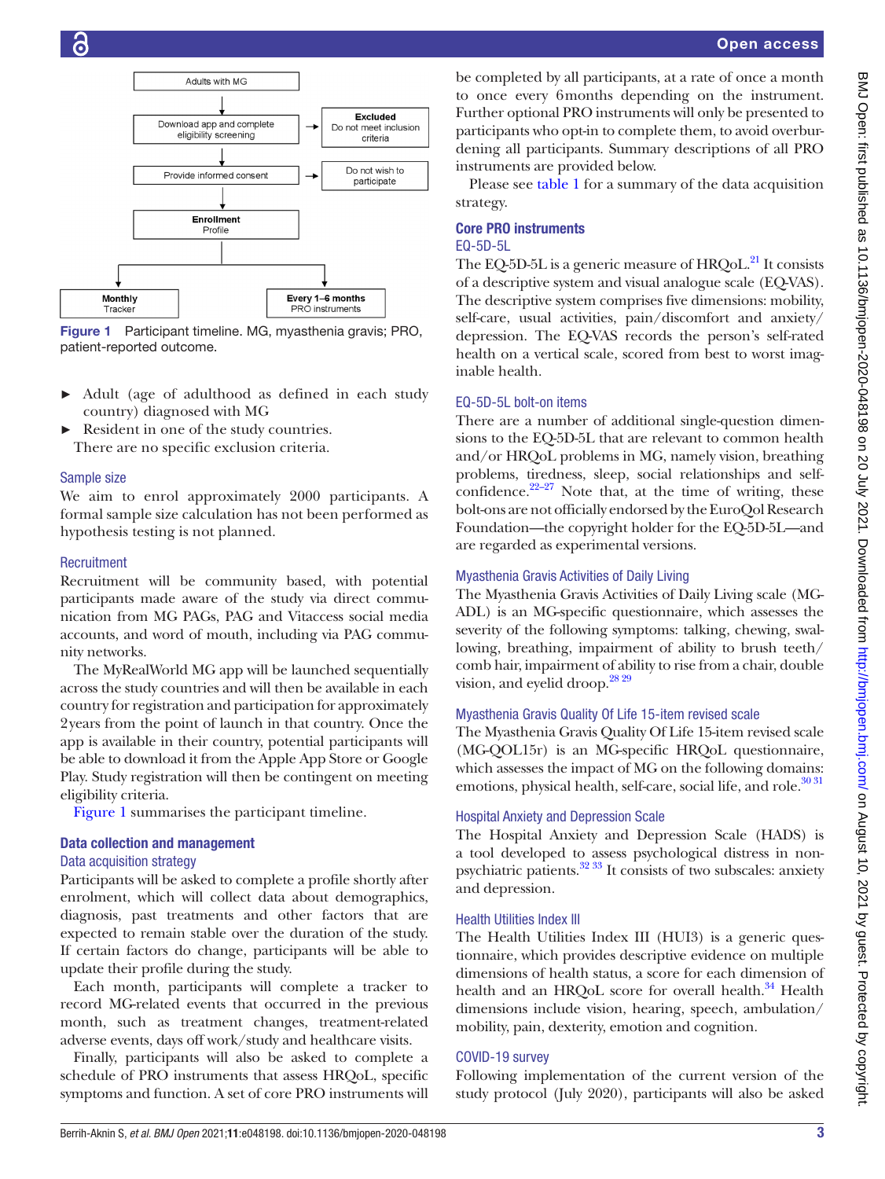

<span id="page-2-0"></span>Figure 1 Participant timeline. MG, myasthenia gravis; PRO, patient-reported outcome.

- Adult (age of adulthood as defined in each study country) diagnosed with MG
- Resident in one of the study countries. There are no specific exclusion criteria.

# Sample size

We aim to enrol approximately 2000 participants. A formal sample size calculation has not been performed as hypothesis testing is not planned.

# **Recruitment**

Recruitment will be community based, with potential participants made aware of the study via direct communication from MG PAGs, PAG and Vitaccess social media accounts, and word of mouth, including via PAG community networks.

The MyRealWorld MG app will be launched sequentially across the study countries and will then be available in each country for registration and participation for approximately 2years from the point of launch in that country. Once the app is available in their country, potential participants will be able to download it from the Apple App Store or Google Play. Study registration will then be contingent on meeting eligibility criteria.

[Figure](#page-2-0) 1 summarises the participant timeline.

## Data collection and management

## Data acquisition strategy

Participants will be asked to complete a profile shortly after enrolment, which will collect data about demographics, diagnosis, past treatments and other factors that are expected to remain stable over the duration of the study. If certain factors do change, participants will be able to update their profile during the study.

Each month, participants will complete a tracker to record MG-related events that occurred in the previous month, such as treatment changes, treatment-related adverse events, days off work/study and healthcare visits.

Finally, participants will also be asked to complete a schedule of PRO instruments that assess HRQoL, specific symptoms and function. A set of core PRO instruments will be completed by all participants, at a rate of once a month to once every 6months depending on the instrument. Further optional PRO instruments will only be presented to participants who opt-in to complete them, to avoid overburdening all participants. Summary descriptions of all PRO instruments are provided below.

Please see [table](#page-3-0) 1 for a summary of the data acquisition strategy.

# Core PRO instruments

# EQ-5D-5L

The EQ-5D-5L is a generic measure of HRQoL.<sup>21</sup> It consists of a descriptive system and visual analogue scale (EQ-VAS). The descriptive system comprises five dimensions: mobility, self-care, usual activities, pain/discomfort and anxiety/ depression. The EQ-VAS records the person's self-rated health on a vertical scale, scored from best to worst imaginable health.

# EQ-5D-5L bolt-on items

There are a number of additional single-question dimensions to the EQ-5D-5L that are relevant to common health and/or HRQoL problems in MG, namely vision, breathing problems, tiredness, sleep, social relationships and selfconfidence. $22-27$  Note that, at the time of writing, these bolt-ons are not officially endorsed by the EuroQol Research Foundation—the copyright holder for the EQ-5D-5L—and are regarded as experimental versions.

# Myasthenia Gravis Activities of Daily Living

The Myasthenia Gravis Activities of Daily Living scale (MG-ADL) is an MG-specific questionnaire, which assesses the severity of the following symptoms: talking, chewing, swallowing, breathing, impairment of ability to brush teeth/ comb hair, impairment of ability to rise from a chair, double vision, and eyelid droop.<sup>28 29</sup>

# Myasthenia Gravis Quality Of Life 15-item revised scale

The Myasthenia Gravis Quality Of Life 15-item revised scale (MG-QOL15r) is an MG-specific HRQoL questionnaire, which assesses the impact of MG on the following domains: emotions, physical health, self-care, social life, and role.<sup>30 31</sup>

# Hospital Anxiety and Depression Scale

The Hospital Anxiety and Depression Scale (HADS) is a tool developed to assess psychological distress in nonpsychiatric patients. $32\frac{33}{11}$  It consists of two subscales: anxiety and depression.

# Health Utilities Index III

The Health Utilities Index III (HUI3) is a generic questionnaire, which provides descriptive evidence on multiple dimensions of health status, a score for each dimension of health and an HRQoL score for overall health.<sup>[34](#page-7-18)</sup> Health dimensions include vision, hearing, speech, ambulation/ mobility, pain, dexterity, emotion and cognition.

# COVID-19 survey

Following implementation of the current version of the study protocol (July 2020), participants will also be asked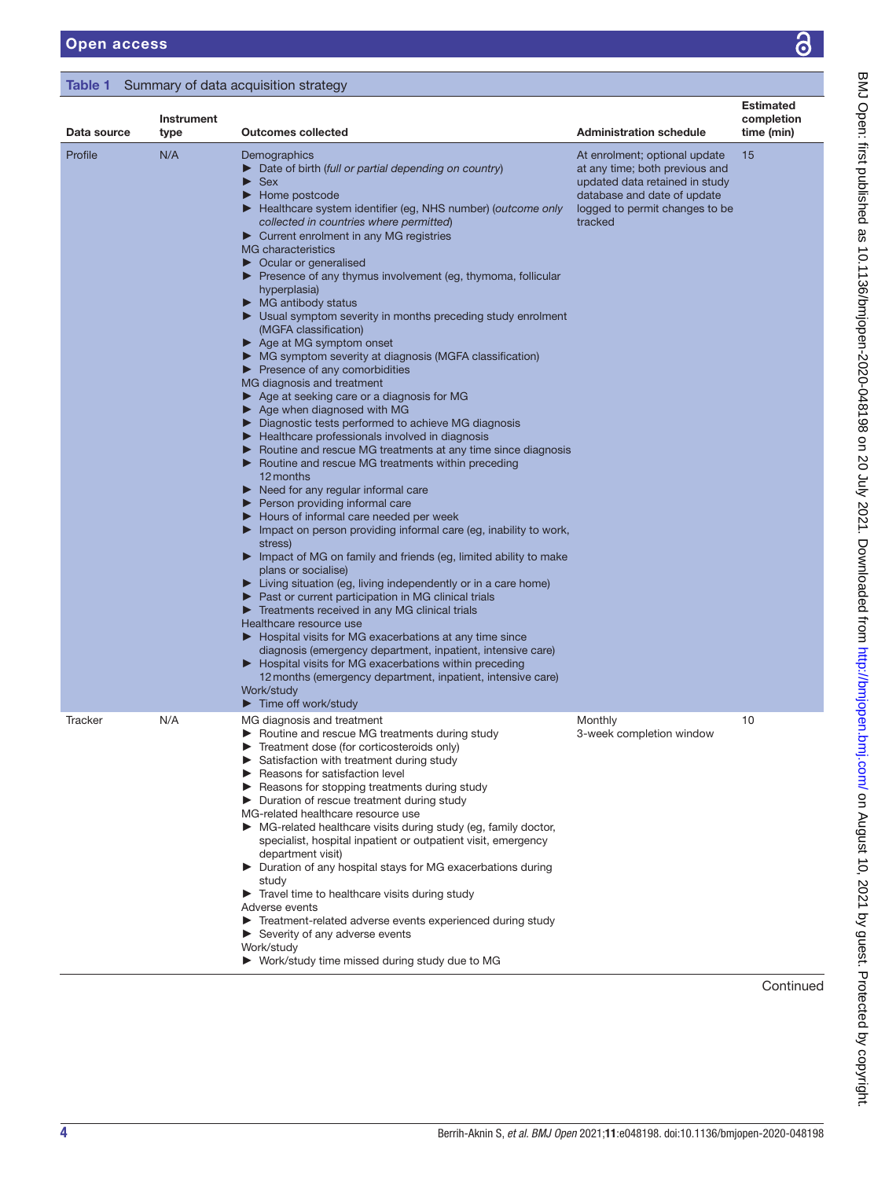# <span id="page-3-0"></span>Table 1 Summary of data acquisition strategy

| Data source | Instrument<br>type | <b>Outcomes collected</b>                                                                                                                                                                                                                                                                                                                                                                                                                                                                                                                                                                                                                                                                                                                                                                                                                                                                                                                                                                                                                                                                                                                                                                                                                                                                                                                                                                                                                                                                                                                                                                                                                                                                                                                                                                                                                                                                                                                                                                                                              | <b>Administration schedule</b>                                                                                                                                                | <b>Estimated</b><br>completion<br>time (min) |
|-------------|--------------------|----------------------------------------------------------------------------------------------------------------------------------------------------------------------------------------------------------------------------------------------------------------------------------------------------------------------------------------------------------------------------------------------------------------------------------------------------------------------------------------------------------------------------------------------------------------------------------------------------------------------------------------------------------------------------------------------------------------------------------------------------------------------------------------------------------------------------------------------------------------------------------------------------------------------------------------------------------------------------------------------------------------------------------------------------------------------------------------------------------------------------------------------------------------------------------------------------------------------------------------------------------------------------------------------------------------------------------------------------------------------------------------------------------------------------------------------------------------------------------------------------------------------------------------------------------------------------------------------------------------------------------------------------------------------------------------------------------------------------------------------------------------------------------------------------------------------------------------------------------------------------------------------------------------------------------------------------------------------------------------------------------------------------------------|-------------------------------------------------------------------------------------------------------------------------------------------------------------------------------|----------------------------------------------|
| Profile     | N/A                | Demographics<br>$\triangleright$ Date of birth (full or partial depending on country)<br>$\blacktriangleright$ Sex<br>$\blacktriangleright$ Home postcode<br>Healthcare system identifier (eg, NHS number) (outcome only<br>collected in countries where permitted)<br>Current enrolment in any MG registries<br>MG characteristics<br>$\triangleright$ Ocular or generalised<br>▶ Presence of any thymus involvement (eg, thymoma, follicular<br>hyperplasia)<br>$\blacktriangleright$ MG antibody status<br>▶ Usual symptom severity in months preceding study enrolment<br>(MGFA classification)<br>▶ Age at MG symptom onset<br>• MG symptom severity at diagnosis (MGFA classification)<br>$\blacktriangleright$ Presence of any comorbidities<br>MG diagnosis and treatment<br>$\triangleright$ Age at seeking care or a diagnosis for MG<br>$\blacktriangleright$ Age when diagnosed with MG<br>▶ Diagnostic tests performed to achieve MG diagnosis<br>Healthcare professionals involved in diagnosis<br>▶ Routine and rescue MG treatments at any time since diagnosis<br>▶ Routine and rescue MG treatments within preceding<br>12 months<br>$\blacktriangleright$ Need for any regular informal care<br>$\blacktriangleright$ Person providing informal care<br>Hours of informal care needed per week<br>$\blacktriangleright$ Impact on person providing informal care (eg, inability to work,<br>stress)<br>Impact of MG on family and friends (eg, limited ability to make<br>plans or socialise)<br>Eiving situation (eg, living independently or in a care home)<br>▶ Past or current participation in MG clinical trials<br>Treatments received in any MG clinical trials<br>Healthcare resource use<br>▶ Hospital visits for MG exacerbations at any time since<br>diagnosis (emergency department, inpatient, intensive care)<br>▶ Hospital visits for MG exacerbations within preceding<br>12 months (emergency department, inpatient, intensive care)<br>Work/study<br>$\blacktriangleright$ Time off work/study | At enrolment; optional update<br>at any time; both previous and<br>updated data retained in study<br>database and date of update<br>logged to permit changes to be<br>tracked | 15                                           |
| Tracker     | N/A                | MG diagnosis and treatment<br>▶ Routine and rescue MG treatments during study<br>Treatment dose (for corticosteroids only)<br>Satisfaction with treatment during study<br>Reasons for satisfaction level<br>Reasons for stopping treatments during study<br>Duration of rescue treatment during study<br>MG-related healthcare resource use<br>MG-related healthcare visits during study (eg, family doctor,<br>specialist, hospital inpatient or outpatient visit, emergency<br>department visit)<br>▶ Duration of any hospital stays for MG exacerbations during<br>study<br>Travel time to healthcare visits during study<br>Adverse events<br>Treatment-related adverse events experienced during study<br>Severity of any adverse events<br>Work/study<br>▶ Work/study time missed during study due to MG                                                                                                                                                                                                                                                                                                                                                                                                                                                                                                                                                                                                                                                                                                                                                                                                                                                                                                                                                                                                                                                                                                                                                                                                                         | Monthly<br>3-week completion window                                                                                                                                           | 10                                           |

Continued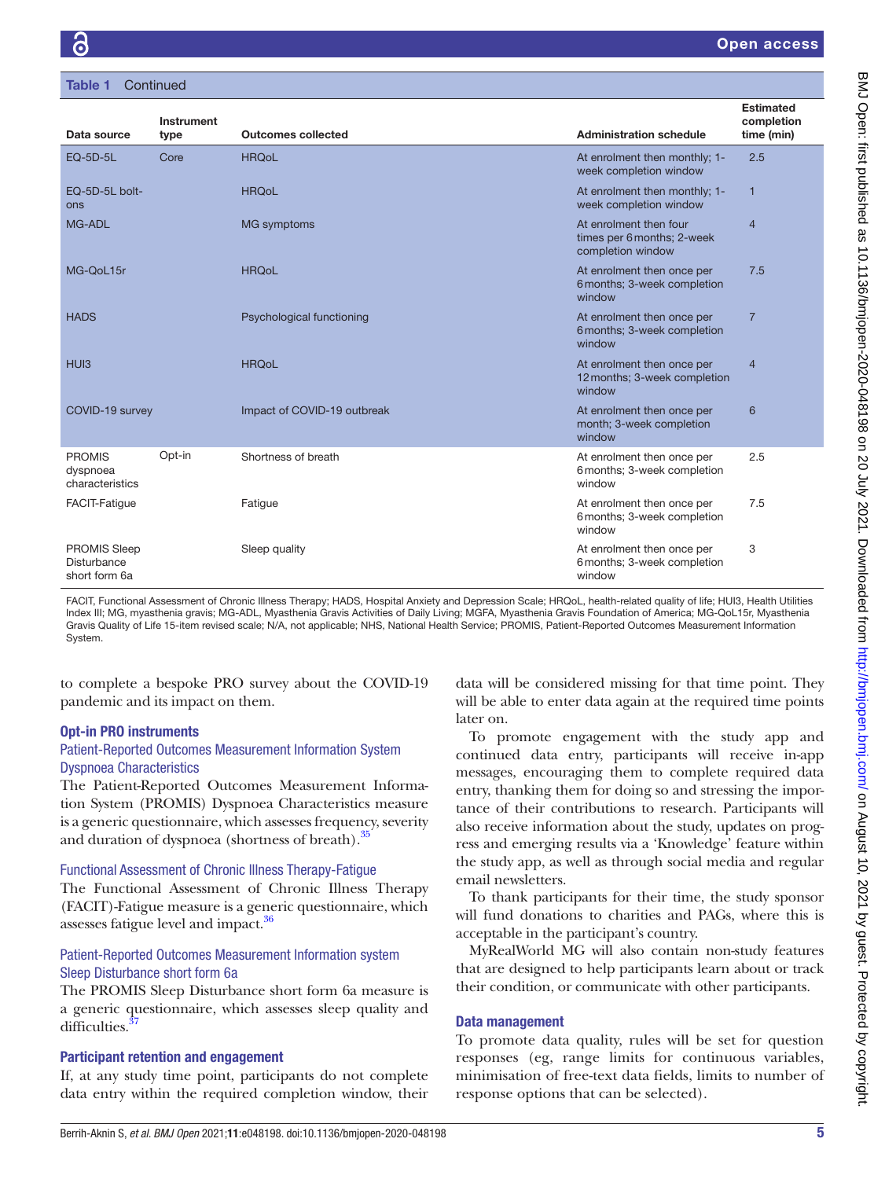| Table 1 | Continued |  |  |
|---------|-----------|--|--|
|         |           |  |  |

|                                                     | <b>Instrument</b> |                             |                                                                           | <b>Estimated</b><br>completion |
|-----------------------------------------------------|-------------------|-----------------------------|---------------------------------------------------------------------------|--------------------------------|
| Data source                                         | type              | <b>Outcomes collected</b>   | <b>Administration schedule</b>                                            | time (min)                     |
| <b>EQ-5D-5L</b>                                     | Core              | <b>HRQoL</b>                | At enrolment then monthly; 1-<br>week completion window                   | 2.5                            |
| EQ-5D-5L bolt-<br>ons                               |                   | <b>HRQoL</b>                | At enrolment then monthly; 1-<br>week completion window                   | 1                              |
| MG-ADL                                              |                   | <b>MG</b> symptoms          | At enrolment then four<br>times per 6 months; 2-week<br>completion window | $\overline{4}$                 |
| MG-OoL15r                                           |                   | <b>HRQoL</b>                | At enrolment then once per<br>6 months; 3-week completion<br>window       | 7.5                            |
| <b>HADS</b>                                         |                   | Psychological functioning   | At enrolment then once per<br>6 months; 3-week completion<br>window       | $\overline{7}$                 |
| HU <sub>13</sub>                                    |                   | <b>HRQoL</b>                | At enrolment then once per<br>12 months; 3-week completion<br>window      | $\overline{4}$                 |
| COVID-19 survey                                     |                   | Impact of COVID-19 outbreak | At enrolment then once per<br>month; 3-week completion<br>window          | 6                              |
| <b>PROMIS</b><br>dyspnoea<br>characteristics        | Opt-in            | Shortness of breath         | At enrolment then once per<br>6 months; 3-week completion<br>window       | 2.5                            |
| <b>FACIT-Fatigue</b>                                |                   | Fatigue                     | At enrolment then once per<br>6 months; 3-week completion<br>window       | 7.5                            |
| <b>PROMIS Sleep</b><br>Disturbance<br>short form 6a |                   | Sleep quality               | At enrolment then once per<br>6 months; 3-week completion<br>window       | 3                              |

FACIT, Functional Assessment of Chronic Illness Therapy; HADS, Hospital Anxiety and Depression Scale; HRQoL, health-related quality of life; HUI3, Health Utilities Index III; MG, myasthenia gravis; MG-ADL, Myasthenia Gravis Activities of Daily Living; MGFA, Myasthenia Gravis Foundation of America; MG-QoL15r, Myasthenia Gravis Quality of Life 15-item revised scale; N/A, not applicable; NHS, National Health Service; PROMIS, Patient-Reported Outcomes Measurement Information System.

to complete a bespoke PRO survey about the COVID-19 pandemic and its impact on them.

#### Opt-in PRO instruments

## Patient-Reported Outcomes Measurement Information System Dyspnoea Characteristics

The Patient-Reported Outcomes Measurement Information System (PROMIS) Dyspnoea Characteristics measure is a generic questionnaire, which assesses frequency, severity and duration of dyspnoea (shortness of breath).<sup>[35](#page-7-19)</sup>

### Functional Assessment of Chronic Illness Therapy-Fatigue

The Functional Assessment of Chronic Illness Therapy (FACIT)-Fatigue measure is a generic questionnaire, which assesses fatigue level and impact.<sup>36</sup>

# Patient-Reported Outcomes Measurement Information system Sleep Disturbance short form 6a

The PROMIS Sleep Disturbance short form 6a measure is a generic questionnaire, which assesses sleep quality and difficulties.<sup>3</sup>

## Participant retention and engagement

If, at any study time point, participants do not complete data entry within the required completion window, their data will be considered missing for that time point. They will be able to enter data again at the required time points later on.

To promote engagement with the study app and continued data entry, participants will receive in-app messages, encouraging them to complete required data entry, thanking them for doing so and stressing the importance of their contributions to research. Participants will also receive information about the study, updates on progress and emerging results via a 'Knowledge' feature within the study app, as well as through social media and regular email newsletters.

To thank participants for their time, the study sponsor will fund donations to charities and PAGs, where this is acceptable in the participant's country.

MyRealWorld MG will also contain non-study features that are designed to help participants learn about or track their condition, or communicate with other participants.

## Data management

To promote data quality, rules will be set for question responses (eg, range limits for continuous variables, minimisation of free-text data fields, limits to number of response options that can be selected).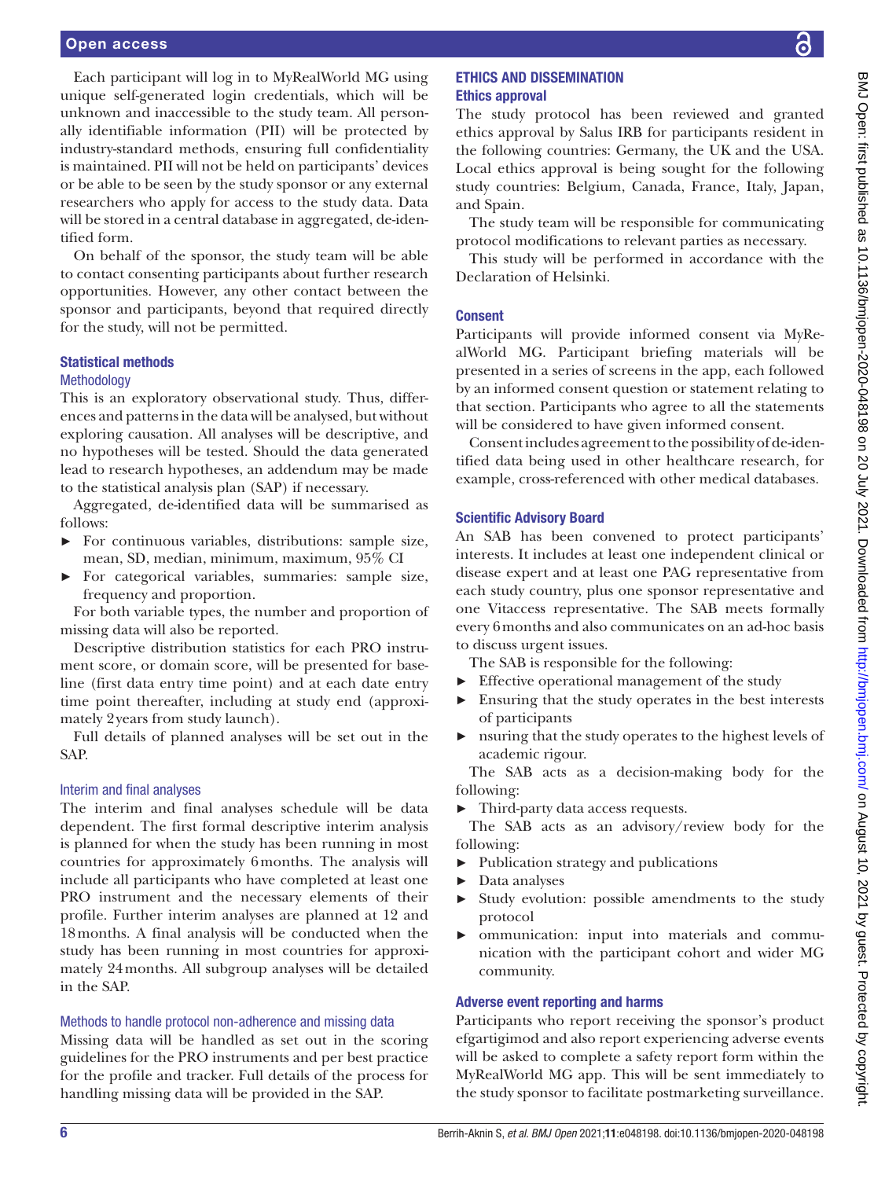Each participant will log in to MyRealWorld MG using unique self-generated login credentials, which will be unknown and inaccessible to the study team. All personally identifiable information (PII) will be protected by industry-standard methods, ensuring full confidentiality is maintained. PII will not be held on participants' devices or be able to be seen by the study sponsor or any external researchers who apply for access to the study data. Data will be stored in a central database in aggregated, de-identified form.

On behalf of the sponsor, the study team will be able to contact consenting participants about further research opportunities. However, any other contact between the sponsor and participants, beyond that required directly for the study, will not be permitted.

## Statistical methods

#### **Methodology**

This is an exploratory observational study. Thus, differences and patterns in the data will be analysed, but without exploring causation. All analyses will be descriptive, and no hypotheses will be tested. Should the data generated lead to research hypotheses, an addendum may be made to the statistical analysis plan (SAP) if necessary.

Aggregated, de-identified data will be summarised as follows:

- ► For continuous variables, distributions: sample size, mean, SD, median, minimum, maximum, 95% CI
- ► For categorical variables, summaries: sample size, frequency and proportion.

For both variable types, the number and proportion of missing data will also be reported.

Descriptive distribution statistics for each PRO instrument score, or domain score, will be presented for baseline (first data entry time point) and at each date entry time point thereafter, including at study end (approximately 2years from study launch).

Full details of planned analyses will be set out in the SAP.

## Interim and final analyses

The interim and final analyses schedule will be data dependent. The first formal descriptive interim analysis is planned for when the study has been running in most countries for approximately 6months. The analysis will include all participants who have completed at least one PRO instrument and the necessary elements of their profile. Further interim analyses are planned at 12 and 18months. A final analysis will be conducted when the study has been running in most countries for approximately 24months. All subgroup analyses will be detailed in the SAP.

#### Methods to handle protocol non-adherence and missing data

Missing data will be handled as set out in the scoring guidelines for the PRO instruments and per best practice for the profile and tracker. Full details of the process for handling missing data will be provided in the SAP.

# ETHICS AND DISSEMINATION Ethics approval

The study protocol has been reviewed and granted ethics approval by Salus IRB for participants resident in the following countries: Germany, the UK and the USA. Local ethics approval is being sought for the following study countries: Belgium, Canada, France, Italy, Japan, and Spain.

The study team will be responsible for communicating protocol modifications to relevant parties as necessary.

This study will be performed in accordance with the Declaration of Helsinki.

# Consent

Participants will provide informed consent via MyRealWorld MG. Participant briefing materials will be presented in a series of screens in the app, each followed by an informed consent question or statement relating to that section. Participants who agree to all the statements will be considered to have given informed consent.

Consent includes agreement to the possibility of de-identified data being used in other healthcare research, for example, cross-referenced with other medical databases.

## Scientific Advisory Board

An SAB has been convened to protect participants' interests. It includes at least one independent clinical or disease expert and at least one PAG representative from each study country, plus one sponsor representative and one Vitaccess representative. The SAB meets formally every 6months and also communicates on an ad-hoc basis to discuss urgent issues.

The SAB is responsible for the following:

- ► Effective operational management of the study
- ► Ensuring that the study operates in the best interests of participants
- ► nsuring that the study operates to the highest levels of academic rigour.

The SAB acts as a decision-making body for the following:

► Third-party data access requests.

The SAB acts as an advisory/review body for the following:

- ► Publication strategy and publications
- ► Data analyses
- Study evolution: possible amendments to the study protocol
- ommunication: input into materials and communication with the participant cohort and wider MG community.

# Adverse event reporting and harms

Participants who report receiving the sponsor's product efgartigimod and also report experiencing adverse events will be asked to complete a safety report form within the MyRealWorld MG app. This will be sent immediately to the study sponsor to facilitate postmarketing surveillance.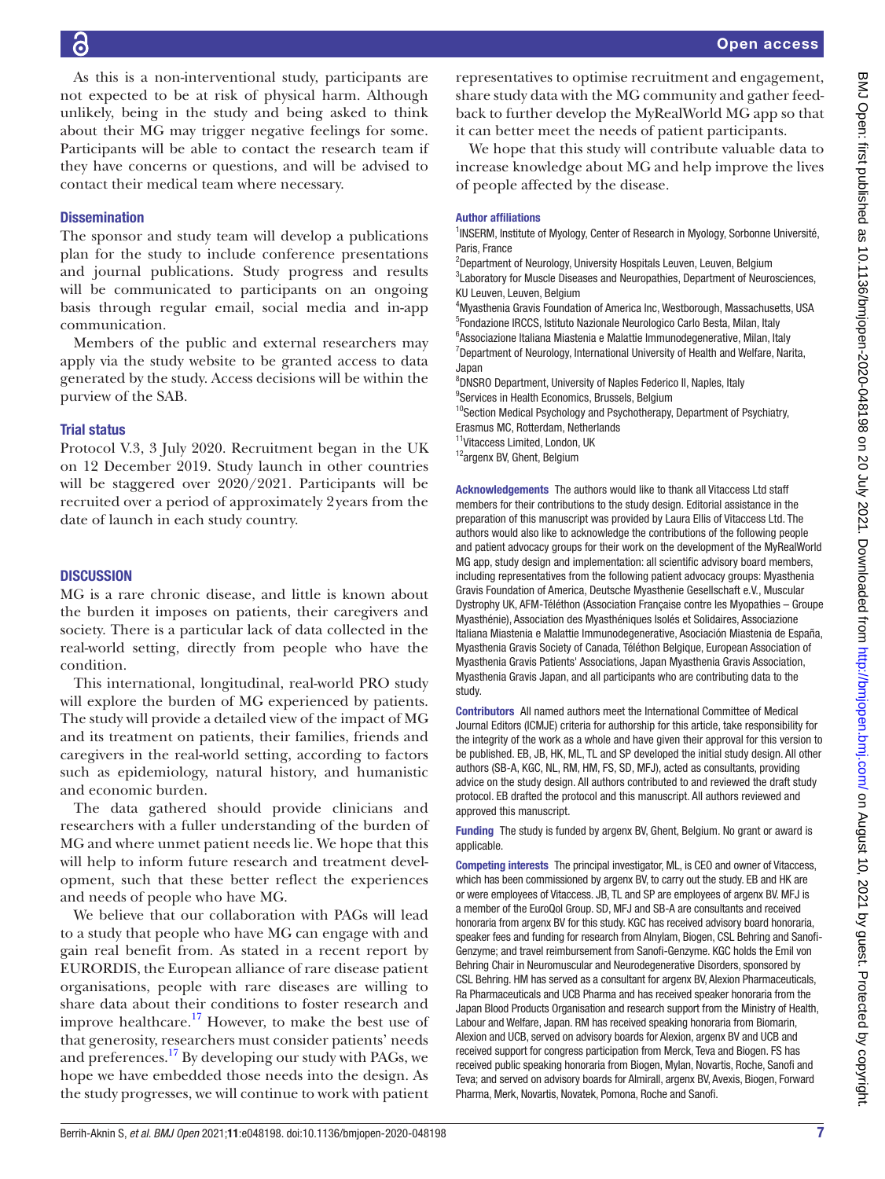As this is a non-interventional study, participants are not expected to be at risk of physical harm. Although unlikely, being in the study and being asked to think about their MG may trigger negative feelings for some. Participants will be able to contact the research team if they have concerns or questions, and will be advised to contact their medical team where necessary.

# **Dissemination**

The sponsor and study team will develop a publications plan for the study to include conference presentations and journal publications. Study progress and results will be communicated to participants on an ongoing basis through regular email, social media and in-app communication.

Members of the public and external researchers may apply via the study website to be granted access to data generated by the study. Access decisions will be within the purview of the SAB.

# Trial status

Protocol V.3, 3 July 2020. Recruitment began in the UK on 12 December 2019. Study launch in other countries will be staggered over 2020/2021. Participants will be recruited over a period of approximately 2years from the date of launch in each study country.

# **DISCUSSION**

MG is a rare chronic disease, and little is known about the burden it imposes on patients, their caregivers and society. There is a particular lack of data collected in the real-world setting, directly from people who have the condition.

This international, longitudinal, real-world PRO study will explore the burden of MG experienced by patients. The study will provide a detailed view of the impact of MG and its treatment on patients, their families, friends and caregivers in the real-world setting, according to factors such as epidemiology, natural history, and humanistic and economic burden.

The data gathered should provide clinicians and researchers with a fuller understanding of the burden of MG and where unmet patient needs lie. We hope that this will help to inform future research and treatment development, such that these better reflect the experiences and needs of people who have MG.

We believe that our collaboration with PAGs will lead to a study that people who have MG can engage with and gain real benefit from. As stated in a recent report by EURORDIS, the European alliance of rare disease patient organisations, people with rare diseases are willing to share data about their conditions to foster research and improve healthcare.<sup>17</sup> However, to make the best use of that generosity, researchers must consider patients' needs and preferences.[17](#page-7-10) By developing our study with PAGs, we hope we have embedded those needs into the design. As the study progresses, we will continue to work with patient representatives to optimise recruitment and engagement, share study data with the MG community and gather feedback to further develop the MyRealWorld MG app so that it can better meet the needs of patient participants.

We hope that this study will contribute valuable data to increase knowledge about MG and help improve the lives of people affected by the disease.

### Author affiliations

<sup>1</sup>INSERM, Institute of Myology, Center of Research in Myology, Sorbonne Université, Paris, France

<sup>2</sup>Department of Neurology, University Hospitals Leuven, Leuven, Belgium <sup>3</sup>Laboratory for Muscle Diseases and Neuropathies, Department of Neurosciences, KU Leuven, Leuven, Belgium

4 Myasthenia Gravis Foundation of America Inc, Westborough, Massachusetts, USA 5 Fondazione IRCCS, Istituto Nazionale Neurologico Carlo Besta, Milan, Italy 6 Associazione Italiana Miastenia e Malattie Immunodegenerative, Milan, Italy <sup>7</sup>Department of Neurology, International University of Health and Welfare, Narita, Japan

8 DNSRO Department, University of Naples Federico II, Naples, Italy

<sup>9</sup>Services in Health Economics, Brussels, Belgium

<sup>10</sup>Section Medical Psychology and Psychotherapy, Department of Psychiatry, Erasmus MC, Rotterdam, Netherlands

<sup>11</sup>Vitaccess Limited, London, UK

12argenx BV, Ghent, Belgium

Acknowledgements The authors would like to thank all Vitaccess Ltd staff members for their contributions to the study design. Editorial assistance in the preparation of this manuscript was provided by Laura Ellis of Vitaccess Ltd. The authors would also like to acknowledge the contributions of the following people and patient advocacy groups for their work on the development of the MyRealWorld MG app, study design and implementation: all scientific advisory board members, including representatives from the following patient advocacy groups: Myasthenia Gravis Foundation of America, Deutsche Myasthenie Gesellschaft e.V., Muscular Dystrophy UK, AFM-Téléthon (Association Française contre les Myopathies – Groupe Myasthénie), Association des Myasthéniques Isolés et Solidaires, Associazione Italiana Miastenia e Malattie Immunodegenerative, Asociación Miastenia de España, Myasthenia Gravis Society of Canada, Téléthon Belgique, European Association of Myasthenia Gravis Patients' Associations, Japan Myasthenia Gravis Association, Myasthenia Gravis Japan, and all participants who are contributing data to the study.

Contributors All named authors meet the International Committee of Medical Journal Editors (ICMJE) criteria for authorship for this article, take responsibility for the integrity of the work as a whole and have given their approval for this version to be published. EB, JB, HK, ML, TL and SP developed the initial study design. All other authors (SB-A, KGC, NL, RM, HM, FS, SD, MFJ), acted as consultants, providing advice on the study design. All authors contributed to and reviewed the draft study protocol. EB drafted the protocol and this manuscript. All authors reviewed and approved this manuscript.

Funding The study is funded by argenx BV, Ghent, Belgium. No grant or award is applicable.

Competing interests The principal investigator, ML, is CEO and owner of Vitaccess, which has been commissioned by argenx BV, to carry out the study. EB and HK are or were employees of Vitaccess. JB, TL and SP are employees of argenx BV. MFJ is a member of the EuroQol Group. SD, MFJ and SB-A are consultants and received honoraria from argenx BV for this study. KGC has received advisory board honoraria, speaker fees and funding for research from Alnylam, Biogen, CSL Behring and Sanofi-Genzyme; and travel reimbursement from Sanofi-Genzyme. KGC holds the Emil von Behring Chair in Neuromuscular and Neurodegenerative Disorders, sponsored by CSL Behring. HM has served as a consultant for argenx BV, Alexion Pharmaceuticals, Ra Pharmaceuticals and UCB Pharma and has received speaker honoraria from the Japan Blood Products Organisation and research support from the Ministry of Health, Labour and Welfare, Japan. RM has received speaking honoraria from Biomarin, Alexion and UCB, served on advisory boards for Alexion, argenx BV and UCB and received support for congress participation from Merck, Teva and Biogen. FS has received public speaking honoraria from Biogen, Mylan, Novartis, Roche, Sanofi and Teva; and served on advisory boards for Almirall, argenx BV, Avexis, Biogen, Forward Pharma, Merk, Novartis, Novatek, Pomona, Roche and Sanofi.